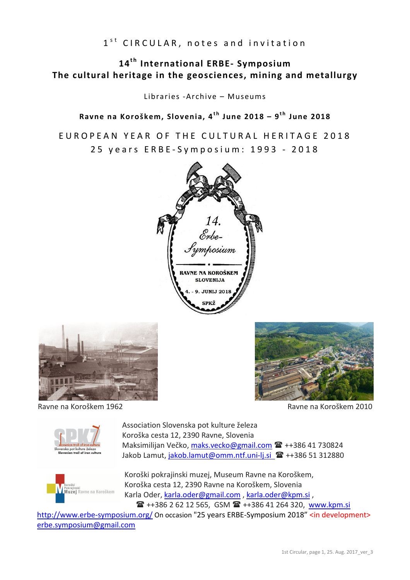$1<sup>st</sup>$  CIRCULAR, notes and invitation

# 14<sup>th</sup> International ERBE- Symposium **The cultural heritage in the geosciences, mining and metallurgy**

Libraries -Archive – Museums

Ravne na Koroškem, Slovenia, 4<sup>th</sup> June 2018 – 9<sup>th</sup> June 2018

EUROPEAN YEAR OF THE CULTURAL HERITAGE 2018 25 y e a r s E R B E - S v m p o s i u m : 1993 - 2018







Ravne na Koroškem 1962 Ravne na Koroškem 2010



Association Slovenska pot kulture železa Koroška cesta 12, 2390 Ravne, Slovenia Maksimilijan Večko, maks.vecko@gmail.com <sup>2</sup>++386 41 730824 Jakob Lamut, jakob.lamut@omm.ntf.uni-lj.si <sup>1</sup>++386 51 312880



Koroški pokrajinski muzej, Museum Ravne na Koroškem, Koroška cesta 12, 2390 Ravne na Koroškem, Slovenia Karla Oder, karla.oder@gmail.com , karla.oder@kpm.si , ++386 2 62 12 565, GSM ++386 41 264 320, www.kpm.si

http://www.erbe-symposium.org/ On occasion "25 years ERBE-Symposium 2018" <in development> erbe.symposium@gmail.com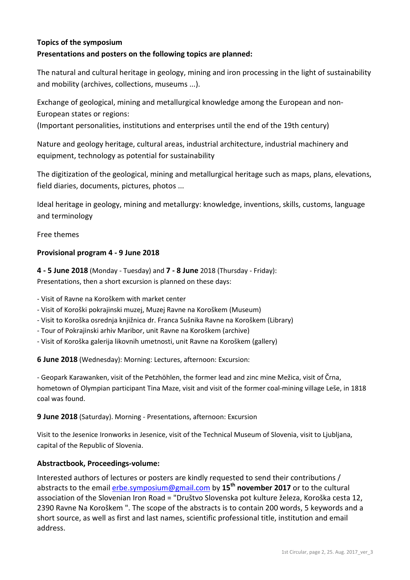## **Topics of the symposium**

#### **Presentations and posters on the following topics are planned:**

The natural and cultural heritage in geology, mining and iron processing in the light of sustainability and mobility (archives, collections, museums ...).

Exchange of geological, mining and metallurgical knowledge among the European and non-European states or regions:

(Important personalities, institutions and enterprises until the end of the 19th century)

Nature and geology heritage, cultural areas, industrial architecture, industrial machinery and equipment, technology as potential for sustainability

The digitization of the geological, mining and metallurgical heritage such as maps, plans, elevations, field diaries, documents, pictures, photos ...

Ideal heritage in geology, mining and metallurgy: knowledge, inventions, skills, customs, language and terminology

#### Free themes

#### **Provisional program 4 - 9 June 2018**

**4 - 5 June 2018** (Monday - Tuesday) and **7 - 8 June** 2018 (Thursday - Friday): Presentations, then a short excursion is planned on these days:

- Visit of Ravne na Koroškem with market center

- Visit of Koroški pokrajinski muzej, Muzej Ravne na Koroškem (Museum)
- Visit to Koroška osrednja knjižnica dr. Franca Sušnika Ravne na Koroškem (Library)
- Tour of Pokrajinski arhiv Maribor, unit Ravne na Koroškem (archive)
- Visit of Koroška galerija likovnih umetnosti, unit Ravne na Koroškem (gallery)

**6 June 2018** (Wednesday): Morning: Lectures, afternoon: Excursion:

- Geopark Karawanken, visit of the Petzhöhlen, the former lead and zinc mine Mežica, visit of Črna, hometown of Olympian participant Tina Maze, visit and visit of the former coal-mining village Leše, in 1818 coal was found.

**9 June 2018** (Saturday). Morning - Presentations, afternoon: Excursion

Visit to the Jesenice Ironworks in Jesenice, visit of the Technical Museum of Slovenia, visit to Ljubljana, capital of the Republic of Slovenia.

#### **Abstractbook, Proceedings-volume:**

Interested authors of lectures or posters are kindly requested to send their contributions / abstracts to the email erbe.symposium@gmail.com by **15th november 2017** or to the cultural association of the Slovenian Iron Road = "Društvo Slovenska pot kulture železa, Koroška cesta 12, 2390 Ravne Na Koroškem ". The scope of the abstracts is to contain 200 words, 5 keywords and a short source, as well as first and last names, scientific professional title, institution and email address.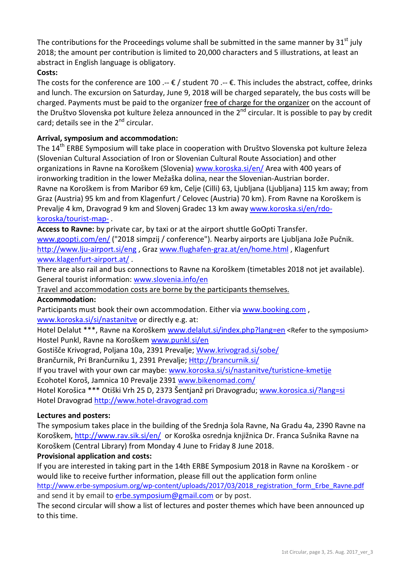The contributions for the Proceedings volume shall be submitted in the same manner by  $31<sup>st</sup>$  july 2018; the amount per contribution is limited to 20,000 characters and 5 illustrations, at least an abstract in English language is obligatory.

## **Costs:**

The costs for the conference are 100 .--  $\epsilon$  / student 70 .--  $\epsilon$ . This includes the abstract, coffee, drinks and lunch. The excursion on Saturday, June 9, 2018 will be charged separately, the bus costs will be charged. Payments must be paid to the organizer free of charge for the organizer on the account of the Društvo Slovenska pot kulture železa announced in the 2<sup>nd</sup> circular. It is possible to pay by credit card; details see in the  $2<sup>nd</sup>$  circular.

## **Arrival, symposium and accommodation:**

The 14<sup>th</sup> ERBE Symposium will take place in cooperation with Društvo Slovenska pot kulture železa (Slovenian Cultural Association of Iron or Slovenian Cultural Route Association) and other organizations in Ravne na Koroškem (Slovenia) www.koroska.si/en/ Area with 400 years of ironworking tradition in the lower Mežaška dolina, near the Slovenian-Austrian border. Ravne na Koroškem is from Maribor 69 km, Celje (Cilli) 63, Ljubljana (Ljubljana) 115 km away; from Graz (Austria) 95 km and from Klagenfurt / Celovec (Austria) 70 km). From Ravne na Koroškem is Prevalje 4 km, Dravograd 9 km and Slovenj Gradec 13 km away www.koroska.si/en/rdokoroska/tourist-map- .

**Access to Ravne:** by private car, by taxi or at the airport shuttle GoOpti Transfer. www.goopti.com/en/ ("2018 simpzij / conference"). Nearby airports are Ljubljana Jože Pučnik. http://www.lju-airport.si/eng , Graz www.flughafen-graz.at/en/home.html , Klagenfurt www.klagenfurt-airport.at/ .

There are also rail and bus connections to Ravne na Koroškem (timetables 2018 not jet available). General tourist information: www.slovenia.info/en

Travel and accommodation costs are borne by the participants themselves.

## **Accommodation:**

Participants must book their own accommodation. Either via www.booking.com , www.koroska.si/si/nastanitve or directly e.g. at:

Hotel Delalut \*\*\*, Ravne na Koroškem www.delalut.si/index.php?lang=en <Refer to the symposium> Hostel Punkl, Ravne na Koroškem www.punkl.si/en

Gostišče Krivograd, Poljana 10a, 2391 Prevalje; Www.krivograd.si/sobe/

Brančurnik, Pri Brančurniku 1, 2391 Prevalje; Http://brancurnik.si/

If you travel with your own car maybe: www.koroska.si/si/nastanitve/turisticne-kmetije Ecohotel Koroš, Jamnica 10 Prevalje 2391 www.bikenomad.com/

Hotel Korošica \*\*\* Otiški Vrh 25 D, 2373 Šentjanž pri Dravogradu; www.korosica.si/?lang=si Hotel Dravograd http://www.hotel-dravograd.com

## **Lectures and posters:**

The symposium takes place in the building of the Srednja šola Ravne, Na Gradu 4a, 2390 Ravne na Koroškem, http://www.rav.sik.si/en/ or Koroška osrednja knjižnica Dr. Franca Sušnika Ravne na Koroškem (Central Library) from Monday 4 June to Friday 8 June 2018.

## **Provisional application and costs:**

If you are interested in taking part in the 14th ERBE Symposium 2018 in Ravne na Koroškem - or would like to receive further information, please fill out the application form online http://www.erbe-symposium.org/wp-content/uploads/2017/03/2018\_registration\_form\_Erbe\_Ravne.pdf and send it by email to erbe.symposium@gmail.com or by post.

The second circular will show a list of lectures and poster themes which have been announced up to this time.